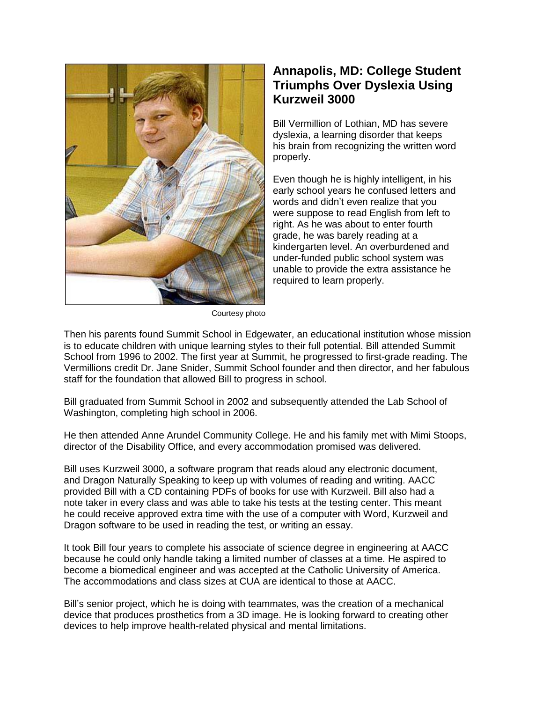

## **Annapolis, MD: College Student Triumphs Over Dyslexia Using Kurzweil 3000**

Bill Vermillion of Lothian, MD has severe dyslexia, a learning disorder that keeps his brain from recognizing the written word properly.

Even though he is highly intelligent, in his early school years he confused letters and words and didn't even realize that you were suppose to read English from left to right. As he was about to enter fourth grade, he was barely reading at a kindergarten level. An overburdened and under-funded public school system was unable to provide the extra assistance he required to learn properly.

Courtesy photo

Then his parents found Summit School in Edgewater, an educational institution whose mission is to educate children with unique learning styles to their full potential. Bill attended Summit School from 1996 to 2002. The first year at Summit, he progressed to first-grade reading. The Vermillions credit Dr. Jane Snider, Summit School founder and then director, and her fabulous staff for the foundation that allowed Bill to progress in school.

Bill graduated from Summit School in 2002 and subsequently attended the Lab School of Washington, completing high school in 2006.

He then attended Anne Arundel Community College. He and his family met with Mimi Stoops, director of the Disability Office, and every accommodation promised was delivered.

Bill uses Kurzweil 3000, a software program that reads aloud any electronic document, and Dragon Naturally Speaking to keep up with volumes of reading and writing. AACC provided Bill with a CD containing PDFs of books for use with Kurzweil. Bill also had a note taker in every class and was able to take his tests at the testing center. This meant he could receive approved extra time with the use of a computer with Word, Kurzweil and Dragon software to be used in reading the test, or writing an essay.

It took Bill four years to complete his associate of science degree in engineering at AACC because he could only handle taking a limited number of classes at a time. He aspired to become a biomedical engineer and was accepted at the Catholic University of America. The accommodations and class sizes at CUA are identical to those at AACC.

Bill's senior project, which he is doing with teammates, was the creation of a mechanical device that produces prosthetics from a 3D image. He is looking forward to creating other devices to help improve health-related physical and mental limitations.